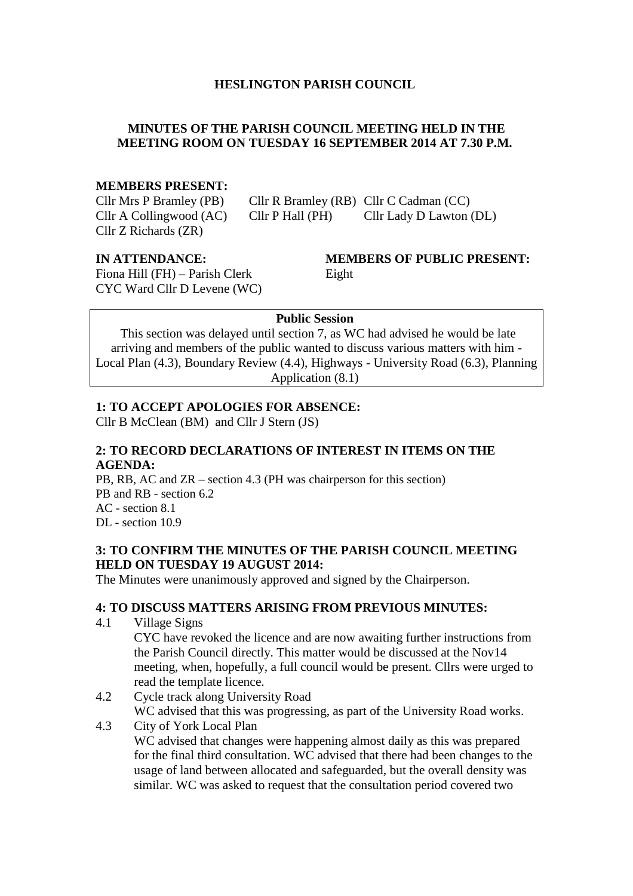#### **HESLINGTON PARISH COUNCIL**

#### **MINUTES OF THE PARISH COUNCIL MEETING HELD IN THE MEETING ROOM ON TUESDAY 16 SEPTEMBER 2014 AT 7.30 P.M.**

#### **MEMBERS PRESENT:**

Cllr Z Richards (ZR)

Cllr Mrs P Bramley (PB) Cllr R Bramley (RB) Cllr C Cadman (CC) Cllr A Collingwood (AC) Cllr P Hall (PH) Cllr Lady D Lawton (DL)

Fiona Hill (FH) – Parish Clerk Eight CYC Ward Cllr D Levene (WC)

# **IN ATTENDANCE: MEMBERS OF PUBLIC PRESENT:**

#### **Public Session**

This section was delayed until section 7, as WC had advised he would be late arriving and members of the public wanted to discuss various matters with him - Local Plan (4.3), Boundary Review (4.4), Highways - University Road (6.3), Planning Application (8.1)

#### **1: TO ACCEPT APOLOGIES FOR ABSENCE:**

Cllr B McClean (BM) and Cllr J Stern (JS)

#### **2: TO RECORD DECLARATIONS OF INTEREST IN ITEMS ON THE AGENDA:**

PB, RB, AC and ZR – section 4.3 (PH was chairperson for this section) PB and RB - section 6.2 AC - section 8.1 DL - section 10.9

#### **3: TO CONFIRM THE MINUTES OF THE PARISH COUNCIL MEETING HELD ON TUESDAY 19 AUGUST 2014:**

The Minutes were unanimously approved and signed by the Chairperson.

#### **4: TO DISCUSS MATTERS ARISING FROM PREVIOUS MINUTES:**

4.1 Village Signs

CYC have revoked the licence and are now awaiting further instructions from the Parish Council directly. This matter would be discussed at the Nov14 meeting, when, hopefully, a full council would be present. Cllrs were urged to read the template licence.

- 4.2 Cycle track along University Road WC advised that this was progressing, as part of the University Road works.
- 4.3 City of York Local Plan WC advised that changes were happening almost daily as this was prepared for the final third consultation. WC advised that there had been changes to the usage of land between allocated and safeguarded, but the overall density was similar. WC was asked to request that the consultation period covered two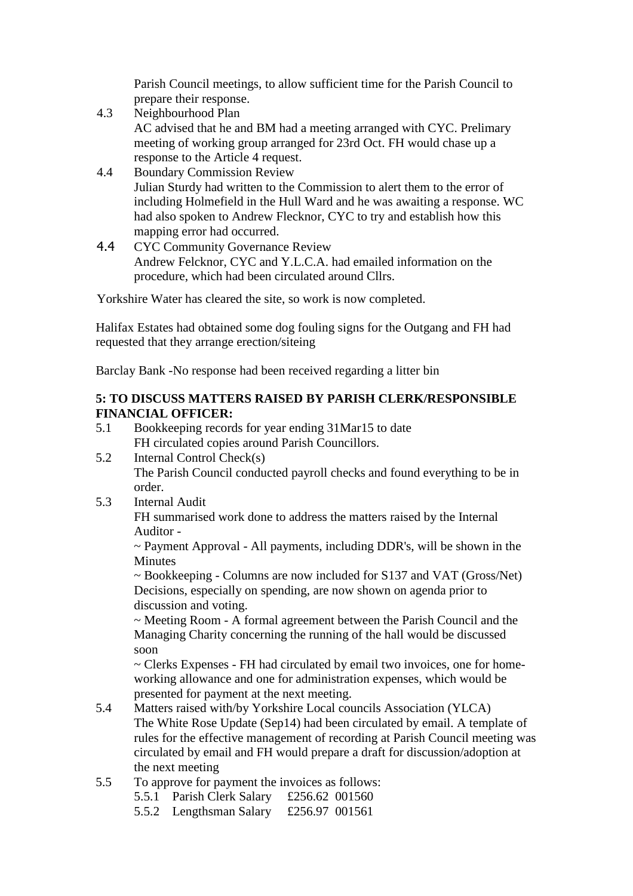Parish Council meetings, to allow sufficient time for the Parish Council to prepare their response.

- 4.3 Neighbourhood Plan AC advised that he and BM had a meeting arranged with CYC. Prelimary meeting of working group arranged for 23rd Oct. FH would chase up a response to the Article 4 request.
- 4.4 Boundary Commission Review Julian Sturdy had written to the Commission to alert them to the error of including Holmefield in the Hull Ward and he was awaiting a response. WC had also spoken to Andrew Flecknor, CYC to try and establish how this mapping error had occurred.
- 4.4 CYC Community Governance Review Andrew Felcknor, CYC and Y.L.C.A. had emailed information on the procedure, which had been circulated around Cllrs.

Yorkshire Water has cleared the site, so work is now completed.

Halifax Estates had obtained some dog fouling signs for the Outgang and FH had requested that they arrange erection/siteing

Barclay Bank -No response had been received regarding a litter bin

#### **5: TO DISCUSS MATTERS RAISED BY PARISH CLERK/RESPONSIBLE FINANCIAL OFFICER:**

- 5.1 Bookkeeping records for year ending 31Mar15 to date FH circulated copies around Parish Councillors.
- 5.2 Internal Control Check(s) The Parish Council conducted payroll checks and found everything to be in order.
- 5.3 Internal Audit

FH summarised work done to address the matters raised by the Internal Auditor -

~ Payment Approval - All payments, including DDR's, will be shown in the Minutes

~ Bookkeeping - Columns are now included for S137 and VAT (Gross/Net) Decisions, especially on spending, are now shown on agenda prior to discussion and voting.

~ Meeting Room - A formal agreement between the Parish Council and the Managing Charity concerning the running of the hall would be discussed soon

~ Clerks Expenses - FH had circulated by email two invoices, one for homeworking allowance and one for administration expenses, which would be presented for payment at the next meeting.

- 5.4 Matters raised with/by Yorkshire Local councils Association (YLCA) The White Rose Update (Sep14) had been circulated by email. A template of rules for the effective management of recording at Parish Council meeting was circulated by email and FH would prepare a draft for discussion/adoption at the next meeting
- 5.5 To approve for payment the invoices as follows:
	- 5.5.1 Parish Clerk Salary £256.62 001560
		- 5.5.2 Lengthsman Salary £256.97 001561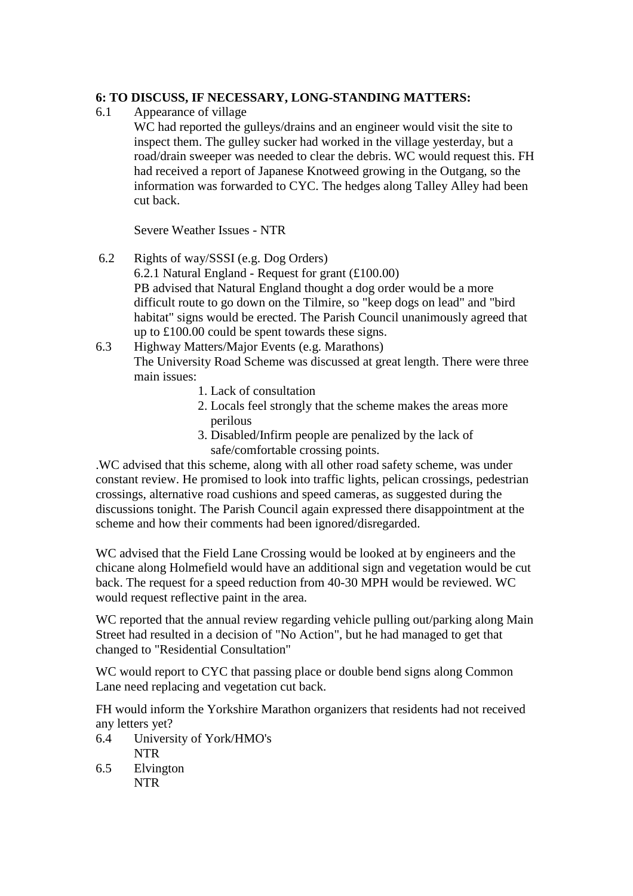#### **6: TO DISCUSS, IF NECESSARY, LONG-STANDING MATTERS:**

6.1 Appearance of village

WC had reported the gulleys/drains and an engineer would visit the site to inspect them. The gulley sucker had worked in the village yesterday, but a road/drain sweeper was needed to clear the debris. WC would request this. FH had received a report of Japanese Knotweed growing in the Outgang, so the information was forwarded to CYC. The hedges along Talley Alley had been cut back.

Severe Weather Issues - NTR

- 6.2 Rights of way/SSSI (e.g. Dog Orders) 6.2.1 Natural England - Request for grant (£100.00) PB advised that Natural England thought a dog order would be a more difficult route to go down on the Tilmire, so "keep dogs on lead" and "bird habitat" signs would be erected. The Parish Council unanimously agreed that up to £100.00 could be spent towards these signs.
- 6.3 Highway Matters/Major Events (e.g. Marathons) The University Road Scheme was discussed at great length. There were three main issues:
	- 1. Lack of consultation
	- 2. Locals feel strongly that the scheme makes the areas more perilous
	- 3. Disabled/Infirm people are penalized by the lack of safe/comfortable crossing points.

.WC advised that this scheme, along with all other road safety scheme, was under constant review. He promised to look into traffic lights, pelican crossings, pedestrian crossings, alternative road cushions and speed cameras, as suggested during the discussions tonight. The Parish Council again expressed there disappointment at the scheme and how their comments had been ignored/disregarded.

WC advised that the Field Lane Crossing would be looked at by engineers and the chicane along Holmefield would have an additional sign and vegetation would be cut back. The request for a speed reduction from 40-30 MPH would be reviewed. WC would request reflective paint in the area.

WC reported that the annual review regarding vehicle pulling out/parking along Main Street had resulted in a decision of "No Action", but he had managed to get that changed to "Residential Consultation"

WC would report to CYC that passing place or double bend signs along Common Lane need replacing and vegetation cut back.

FH would inform the Yorkshire Marathon organizers that residents had not received any letters yet?

- 6.4 University of York/HMO's NTR
- 6.5 Elvington NTR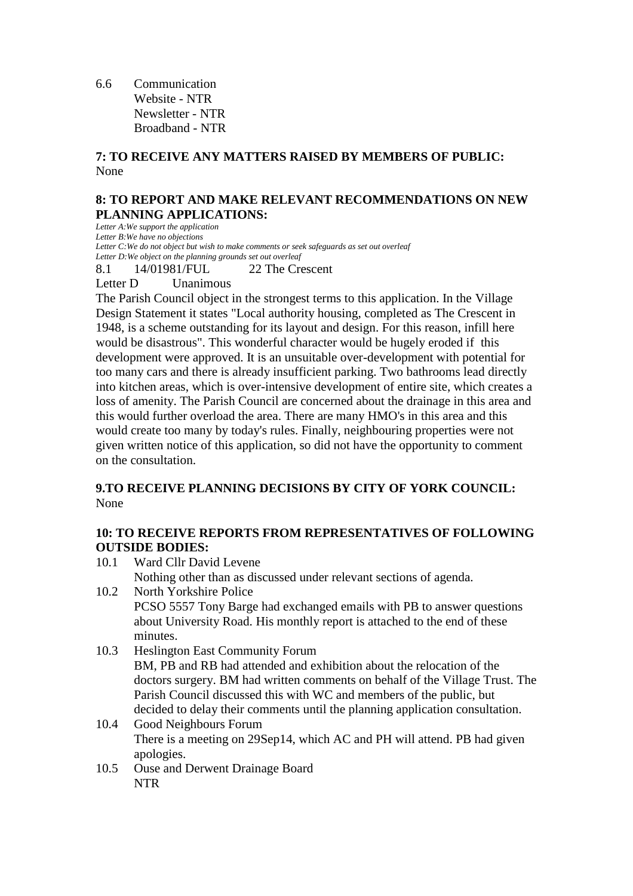6.6 Communication Website - NTR Newsletter - NTR Broadband - NTR

#### **7: TO RECEIVE ANY MATTERS RAISED BY MEMBERS OF PUBLIC:** None

#### **8: TO REPORT AND MAKE RELEVANT RECOMMENDATIONS ON NEW PLANNING APPLICATIONS:**

*Letter A:We support the application Letter B:We have no objections Letter C:We do not object but wish to make comments or seek safeguards as set out overleaf Letter D:We object on the planning grounds set out overleaf*

8.1 14/01981/FUL 22 The Crescent

Letter D Unanimous

The Parish Council object in the strongest terms to this application. In the Village Design Statement it states "Local authority housing, completed as The Crescent in 1948, is a scheme outstanding for its layout and design. For this reason, infill here would be disastrous". This wonderful character would be hugely eroded if this development were approved. It is an unsuitable over-development with potential for too many cars and there is already insufficient parking. Two bathrooms lead directly into kitchen areas, which is over-intensive development of entire site, which creates a loss of amenity. The Parish Council are concerned about the drainage in this area and this would further overload the area. There are many HMO's in this area and this would create too many by today's rules. Finally, neighbouring properties were not given written notice of this application, so did not have the opportunity to comment on the consultation.

#### **9.TO RECEIVE PLANNING DECISIONS BY CITY OF YORK COUNCIL:** None

#### **10: TO RECEIVE REPORTS FROM REPRESENTATIVES OF FOLLOWING OUTSIDE BODIES:**

10.1 Ward Cllr David Levene Nothing other than as discussed under relevant sections of agenda. 10.2 North Yorkshire Police

PCSO 5557 Tony Barge had exchanged emails with PB to answer questions about University Road. His monthly report is attached to the end of these minutes.

- 10.3 Heslington East Community Forum BM, PB and RB had attended and exhibition about the relocation of the doctors surgery. BM had written comments on behalf of the Village Trust. The Parish Council discussed this with WC and members of the public, but decided to delay their comments until the planning application consultation.
- 10.4 Good Neighbours Forum There is a meeting on 29Sep14, which AC and PH will attend. PB had given apologies.
- 10.5 Ouse and Derwent Drainage Board NTR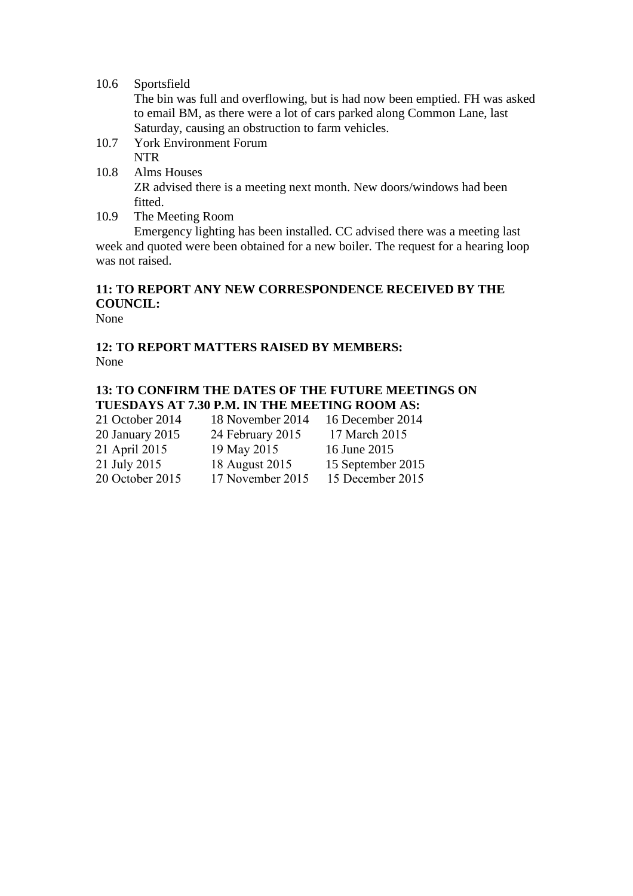#### 10.6 Sportsfield

The bin was full and overflowing, but is had now been emptied. FH was asked to email BM, as there were a lot of cars parked along Common Lane, last Saturday, causing an obstruction to farm vehicles.

- 10.7 York Environment Forum NTR
- 10.8 Alms Houses

ZR advised there is a meeting next month. New doors/windows had been fitted.

10.9 The Meeting Room

Emergency lighting has been installed. CC advised there was a meeting last week and quoted were been obtained for a new boiler. The request for a hearing loop was not raised.

#### **11: TO REPORT ANY NEW CORRESPONDENCE RECEIVED BY THE COUNCIL:**

None

#### **12: TO REPORT MATTERS RAISED BY MEMBERS:** None

#### **13: TO CONFIRM THE DATES OF THE FUTURE MEETINGS ON TUESDAYS AT 7.30 P.M. IN THE MEETING ROOM AS:**

| 21 October 2014 | 18 November 2014 | 16 December 2014  |
|-----------------|------------------|-------------------|
| 20 January 2015 | 24 February 2015 | 17 March 2015     |
| 21 April 2015   | 19 May 2015      | 16 June 2015      |
| 21 July 2015    | 18 August 2015   | 15 September 2015 |
| 20 October 2015 | 17 November 2015 | 15 December 2015  |